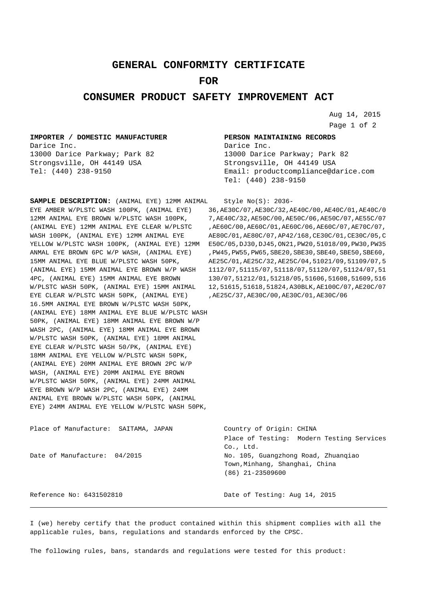## **GENERAL CONFORMITY CERTIFICATE**

## **FOR**

## **CONSUMER PRODUCT SAFETY IMPROVEMENT ACT**

Aug 14, 2015 Page 1 of 2

## **IMPORTER / DOMESTIC MANUFACTURER** Darice Inc.

13000 Darice Parkway; Park 82 Strongsville, OH 44149 USA Tel: (440) 238-9150

**PERSON MAINTAINING RECORDS** Darice Inc. 13000 Darice Parkway; Park 82 Strongsville, OH 44149 USA Email: productcompliance@darice.com Tel: (440) 238-9150

**SAMPLE DESCRIPTION:** (ANIMAL EYE) 12MM ANIMAL EYE AMBER W/PLSTC WASH 100PK, (ANIMAL EYE) 36,AE30C/07,AE30C/32,AE40C/00,AE40C/01,AE40C/0 12MM ANIMAL EYE BROWN W/PLSTC WASH 100PK, (ANIMAL EYE) 12MM ANIMAL EYE CLEAR W/PLSTC WASH 100PK, (ANIMAL EYE) 12MM ANIMAL EYE YELLOW W/PLSTC WASH 100PK, (ANIMAL EYE) 12MM E50C/05,DJ30,DJ45,ON21,PW20,51018/09,PW30,PW35 ANMAL EYE BROWN 6PC W/P WASH, (ANIMAL EYE) 15MM ANIMAL EYE BLUE W/PLSTC WASH 50PK, (ANIMAL EYE) 15MM ANIMAL EYE BROWN W/P WASH 1112/07,51115/07,51118/07,51120/07,51124/07,51 4PC, (ANIMAL EYE) 15MM ANIMAL EYE BROWN 130/07,51212/01,51218/05,51606,51608,51609,516 W/PLSTC WASH 50PK, (ANIMAL EYE) 15MM ANIMAL 12,51615,51618,51824,A30BLK,AE100C/07,AE20C/07 EYE CLEAR W/PLSTC WASH 50PK, (ANIMAL EYE) 16.5MM ANIMAL EYE BROWN W/PLSTC WASH 50PK, (ANIMAL EYE) 18MM ANIMAL EYE BLUE W/PLSTC WASH 50PK, (ANIMAL EYE) 18MM ANIMAL EYE BROWN W/P WASH 2PC, (ANIMAL EYE) 18MM ANIMAL EYE BROWN W/PLSTC WASH 50PK, (ANIMAL EYE) 18MM ANIMAL EYE CLEAR W/PLSTC WASH 50/PK, (ANIMAL EYE) 18MM ANIMAL EYE YELLOW W/PLSTC WASH 50PK, (ANIMAL EYE) 20MM ANIMAL EYE BROWN 2PC W/P WASH, (ANIMAL EYE) 20MM ANIMAL EYE BROWN W/PLSTC WASH 50PK, (ANIMAL EYE) 24MM ANIMAL EYE BROWN W/P WASH 2PC, (ANIMAL EYE) 24MM ANIMAL EYE BROWN W/PLSTC WASH 50PK, (ANIMAL EYE) 24MM ANIMAL EYE YELLOW W/PLSTC WASH 50PK,

Style No(S): 2036-

7,AE40C/32,AE50C/00,AE50C/06,AE50C/07,AE55C/07 ,AE60C/00,AE60C/01,AE60C/06,AE60C/07,AE70C/07, AE80C/01,AE80C/07,AP42/168,CE30C/01,CE30C/05,C ,PW45,PW55,PW65,SBE20,SBE30,SBE40,SBE50,SBE60, AE25C/01,AE25C/32,AE25C/04,51021/09,51109/07,5 ,AE25C/37,AE30C/00,AE30C/01,AE30C/06

| Place of Testing: Modern Testing Services |  |
|-------------------------------------------|--|
|                                           |  |
| No. 105, Guangzhong Road, Zhuangiao       |  |
|                                           |  |
|                                           |  |
|                                           |  |
| Date of Testing: Aug 14, 2015             |  |
|                                           |  |

I (we) hereby certify that the product contained within this shipment complies with all the applicable rules, bans, regulations and standards enforced by the CPSC.

The following rules, bans, standards and regulations were tested for this product: